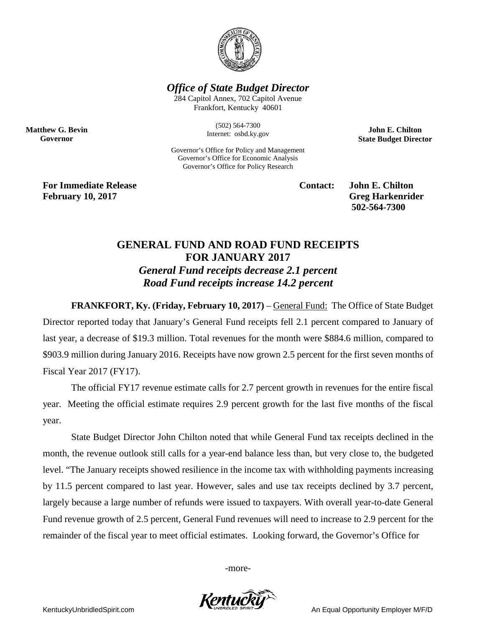

*Office of State Budget Director*

284 Capitol Annex, 702 Capitol Avenue Frankfort, Kentucky 40601

> (502) 564-7300 Internet: osbd.ky.gov

Governor's Office for Policy and Management Governor's Office for Economic Analysis Governor's Office for Policy Research

**John E. Chilton State Budget Director**

**For Immediate Release Contact: John E. Chilton February** 10, 2017 **Greg Harkenrider** 

**Matthew G. Bevin Governor**

**502-564-7300** 

## **GENERAL FUND AND ROAD FUND RECEIPTS FOR JANUARY 2017** *General Fund receipts decrease 2.1 percent Road Fund receipts increase 14.2 percent*

**FRANKFORT, Ky. (Friday, February 10, 2017)** – General Fund: The Office of State Budget Director reported today that January's General Fund receipts fell 2.1 percent compared to January of last year, a decrease of \$19.3 million. Total revenues for the month were \$884.6 million, compared to \$903.9 million during January 2016. Receipts have now grown 2.5 percent for the first seven months of Fiscal Year 2017 (FY17).

The official FY17 revenue estimate calls for 2.7 percent growth in revenues for the entire fiscal year. Meeting the official estimate requires 2.9 percent growth for the last five months of the fiscal year.

State Budget Director John Chilton noted that while General Fund tax receipts declined in the month, the revenue outlook still calls for a year-end balance less than, but very close to, the budgeted level. "The January receipts showed resilience in the income tax with withholding payments increasing by 11.5 percent compared to last year. However, sales and use tax receipts declined by 3.7 percent, largely because a large number of refunds were issued to taxpayers. With overall year-to-date General Fund revenue growth of 2.5 percent, General Fund revenues will need to increase to 2.9 percent for the remainder of the fiscal year to meet official estimates. Looking forward, the Governor's Office for

-more-



KentuckyUnbridledSpirit.com An Equal Opportunity Employer M/F/D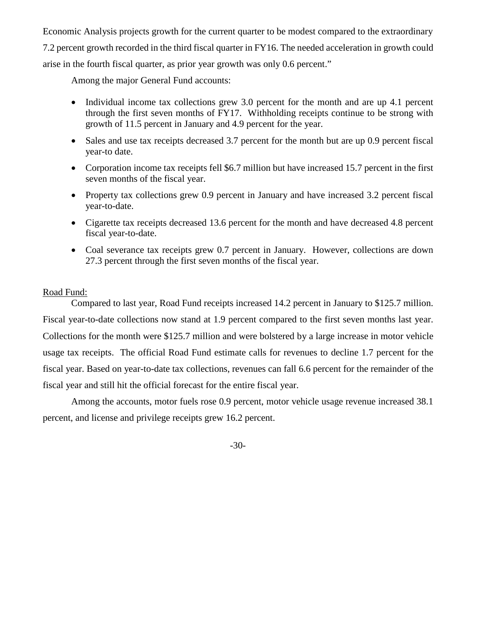Economic Analysis projects growth for the current quarter to be modest compared to the extraordinary 7.2 percent growth recorded in the third fiscal quarter in FY16. The needed acceleration in growth could arise in the fourth fiscal quarter, as prior year growth was only 0.6 percent."

Among the major General Fund accounts:

- Individual income tax collections grew 3.0 percent for the month and are up 4.1 percent through the first seven months of FY17. Withholding receipts continue to be strong with growth of 11.5 percent in January and 4.9 percent for the year.
- Sales and use tax receipts decreased 3.7 percent for the month but are up 0.9 percent fiscal year-to date.
- Corporation income tax receipts fell \$6.7 million but have increased 15.7 percent in the first seven months of the fiscal year.
- Property tax collections grew 0.9 percent in January and have increased 3.2 percent fiscal year-to-date.
- Cigarette tax receipts decreased 13.6 percent for the month and have decreased 4.8 percent fiscal year-to-date.
- Coal severance tax receipts grew 0.7 percent in January. However, collections are down 27.3 percent through the first seven months of the fiscal year.

## Road Fund:

Compared to last year, Road Fund receipts increased 14.2 percent in January to \$125.7 million. Fiscal year-to-date collections now stand at 1.9 percent compared to the first seven months last year. Collections for the month were \$125.7 million and were bolstered by a large increase in motor vehicle usage tax receipts. The official Road Fund estimate calls for revenues to decline 1.7 percent for the fiscal year. Based on year-to-date tax collections, revenues can fall 6.6 percent for the remainder of the fiscal year and still hit the official forecast for the entire fiscal year.

Among the accounts, motor fuels rose 0.9 percent, motor vehicle usage revenue increased 38.1 percent, and license and privilege receipts grew 16.2 percent.

-30-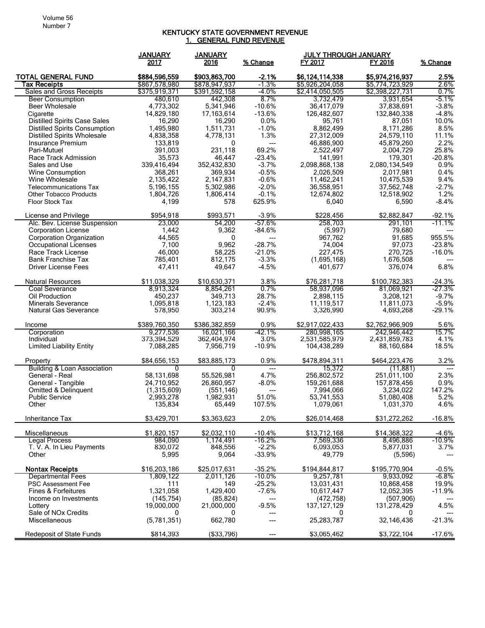## KENTUCKY STATE GOVERNMENT REVENUE <u>1. GENERAL FUND REVENUE</u>

|                                                                             | <b>JANUARY</b>             | <b>JANUARY</b>       |                      | <b>JULY THROUGH JANUARY</b> |                         |                      |
|-----------------------------------------------------------------------------|----------------------------|----------------------|----------------------|-----------------------------|-------------------------|----------------------|
|                                                                             | 2017                       | 2016                 | % Change             | FY 2017                     | FY 2016                 | % Change             |
| <b>TOTAL GENERAL FUND</b>                                                   | \$884,596,559              | \$903,863,700        | $-2.1%$              | \$6,124,114,338             | \$5,974,216,937         | 2.5%                 |
| Tax Receipts                                                                | \$867,578,980              | \$878,947,937        | $-1.3%$              | \$5,926,204,058             | \$5,774,723,929         | 2.6%                 |
| Sales and Gross Receipts                                                    | \$375,919,371              | \$391,592,158        | -4.0%                | \$2,414,050,505             | \$2,398,227,731         | $0.7\%$              |
| <b>Beer Consumption</b>                                                     | 480,610                    | 442,308              | 8.7%                 | 3,732,479                   | 3,931,654               | -5.1%                |
| Beer Wholesale                                                              | 4,773,302                  | 5,341,946            | $-10.6%$             | 36.417.079                  | 37,838,691              | $-3.8%$              |
| Cigarette                                                                   | 14,829,180                 | 17,163,614           | $-13.6%$             | 126,482,607                 | 132,840,338             | $-4.8%$              |
| <b>Distilled Spirits Case Sales</b><br><b>Distilled Spirits Consumption</b> | 16,290<br>1,495,980        | 16,290<br>1,511,731  | 0.0%<br>$-1.0%$      | 95,761<br>8,862,499         | 87,051<br>8,171,286     | 10.0%<br>8.5%        |
| <b>Distilled Spirits Wholesale</b>                                          | 4,838,358                  | 4,778,131            | 1.3%                 | 27,312,009                  | 24,579,110              | 11.1%                |
| Insurance Premium                                                           | 133,819                    | 0                    | $---$                | 46,886,900                  | 45,879,260              | 2.2%                 |
| Pari-Mutuel                                                                 | 391,003                    | 231,118              | 69.2%                | 2,522,497                   | 2,004,729               | 25.8%                |
| Race Track Admission                                                        | 35,573                     | 46,447               | $-23.4%$             | 141,991                     | 179,301                 | $-20.8%$             |
| Sales and Use                                                               | 339,416,494                | 352,432,830          | $-3.7%$              | 2,098,868,138               | 2,080,134,549           | 0.9%                 |
| <b>Wine Consumption</b>                                                     | 368,261                    | 369,934              | $-0.5%$              | 2,026,509                   | 2,017,981               | 0.4%                 |
| Wine Wholesale                                                              | 2,135,422                  | 2,147,831            | $-0.6%$              | 11,462,241                  | 10,475,539              | 9.4%                 |
| <b>Telecommunications Tax</b>                                               | 5,196,155                  | 5,302,986            | $-2.0%$              | 36,558,951                  | 37,562,748              | $-2.7%$              |
| <b>Other Tobacco Products</b>                                               | 1,804,726<br>4,199         | 1,806,414            | $-0.1%$<br>625.9%    | 12,674,802                  | 12,518,902              | 1.2%<br>$-8.4%$      |
| <b>Floor Stock Tax</b>                                                      |                            | 578                  |                      | 6,040                       | 6,590                   |                      |
| License and Privilege                                                       | \$954,918                  | \$993,571            | $-3.9%$              | \$228,456                   | \$2,882,847             | $-92.1%$             |
| Alc. Bev. License Suspension                                                | 23,000                     | 54,200               | $-57.6%$             | 258,703                     | 291,101                 | $-11.1%$             |
| <b>Corporation License</b>                                                  | 1,442                      | 9,362                | $-84.6%$             | (5,997)                     | 79,680                  |                      |
| Corporation Organization                                                    | 44,565                     | 0                    | $---$                | 967.762                     | 91,685                  | 955.5%               |
| Occupational Licenses<br>Race Track License                                 | 7,100<br>46,000            | 9,962<br>58.225      | $-28.7%$<br>$-21.0%$ | 74,004<br>227,475           | 97,073<br>270,725       | $-23.8%$<br>$-16.0%$ |
| <b>Bank Franchise Tax</b>                                                   | 785,401                    | 812,175              | $-3.3%$              | (1,695,168)                 | 1,676,508               |                      |
| Driver License Fees                                                         | 47,411                     | 49,647               | $-4.5%$              | 401,677                     | 376.074                 | 6.8%                 |
|                                                                             |                            |                      |                      |                             |                         |                      |
| <b>Natural Resources</b>                                                    | \$11,038,329               | \$10,630,371         | 3.8%                 | \$76,281,718                | \$100,782,383           | $-24.3%$             |
| Coal Severance<br>Oil Production                                            | 8,913,324<br>450,237       | 8,854,261<br>349,713 | 0.7%<br>28.7%        | 58,937,096<br>2,898,115     | 81,069,921<br>3,208,121 | -27.3%<br>$-9.7%$    |
| <b>Minerals Severance</b>                                                   | 1,095,818                  | 1,123,183            | $-2.4%$              | 11,119,517                  | 11,811,073              | $-5.9%$              |
| <b>Natural Gas Severance</b>                                                | 578,950                    | 303,214              | 90.9%                | 3,326,990                   | 4,693,268               | $-29.1%$             |
| Income                                                                      | \$389,760,350              | \$386,382,859        | 0.9%                 | \$2,917,022,433             | \$2,762,966,909         | 5.6%                 |
| Corporation                                                                 | 9,277,536                  | 16,021,166           | -42.1%               | 280,998,165                 | 242,946,442             | 15.7%                |
| Individual                                                                  | 373,394,529                | 362,404,974          | 3.0%                 | 2,531,585,979               | 2,431,859,783           | 4.1%                 |
| <b>Limited Liability Entity</b>                                             | 7,088,285                  | 7,956,719            | $-10.9%$             | 104,438,289                 | 88,160,684              | 18.5%                |
| Property                                                                    | \$84,656,153               | \$83,885,173         | 0.9%                 | \$478,894,311               | \$464,223,476           | 3.2%                 |
| <b>Building &amp; Loan Association</b>                                      | 0                          | 0                    | $---$                | 15.372                      | (11, 881)               |                      |
| General - Real                                                              | 58,131,698                 | 55,526,981           | 4.7%                 | 256,802,572                 | 251,011,100             | 2.3%                 |
| General - Tangible                                                          | 24,710,952                 | 26,860,957           | $-8.0%$              | 159,261,688                 | 157,878,456             | 0.9%                 |
| Omitted & Delinquent                                                        | (1,315,609)                | (551, 146)           | ---                  | 7,994,066                   | 3,234,022               | 147.2%               |
| <b>Public Service</b>                                                       | 2,993,278                  | 1,982,931            | 51.0%                | 53,741,553                  | 51,080,408              | 5.2%                 |
| Other                                                                       | 135,834                    | 65,449               | 107.5%               | 1,079,061                   | 1,031,370               | 4.6%                 |
| Inheritance Tax                                                             | \$3,429,701                | \$3,363,623          | 2.0%                 | \$26,014,468                | \$31,272,262            | $-16.8%$             |
| Miscellaneous                                                               | \$1,820,157                | \$2,032,110          | $-10.4%$             | \$13,712,168                | \$14,368,322            | $-4.6%$              |
| Legal Process                                                               | 984.090                    | 1,174,491            | $-16.2%$             | 7,569,336                   | 8,496,886               | $-10.9\%$            |
| T. V. A. In Lieu Payments                                                   | 830,072                    | 848,556              | $-2.2%$              | 6,093,053                   | 5,877,031               | 3.7%                 |
| Other                                                                       | 5,995                      | 9,064                | $-33.9%$             | 49,779                      | (5,596)                 |                      |
| <b>Nontax Receipts</b>                                                      | \$16,203,186               | \$25,017,631         | $-35.2%$             | \$194,844,817               | \$195,770,904           | $-0.5%$              |
| <b>Departmental Fees</b>                                                    | 1,809,122                  | 2,011,126            | $-10.0\%$            | 9,257,781                   | 9,933,092               | $-6.8\%$             |
| <b>PSC Assessment Fee</b>                                                   | 111                        | 149                  | $-25.2%$             | 13,031,431                  | 10,868,458              | 19.9%                |
| Fines & Forfeitures                                                         | 1,321,058                  | 1,429,400            | $-7.6%$              | 10,617,447                  | 12,052,395              | $-11.9%$             |
| Income on Investments                                                       | (145, 754)                 | (85, 824)            | ---                  | (472, 758)                  | (507, 906)              |                      |
| Lottery<br>Sale of NO <sub>x</sub> Credits                                  | 19,000,000<br>$\mathbf{0}$ | 21,000,000<br>0      | $-9.5%$<br>$---$     | 137, 127, 129<br>0          | 131,278,429<br>0        | 4.5%                 |
| Miscellaneous                                                               | (5,781,351)                | 662,780              | ---                  | 25,283,787                  | 32,146,436              | $-21.3%$             |
| <b>Redeposit of State Funds</b>                                             | \$814,393                  | ( \$33,796)          | ---                  | \$3,065,462                 | \$3,722,104             | $-17.6%$             |